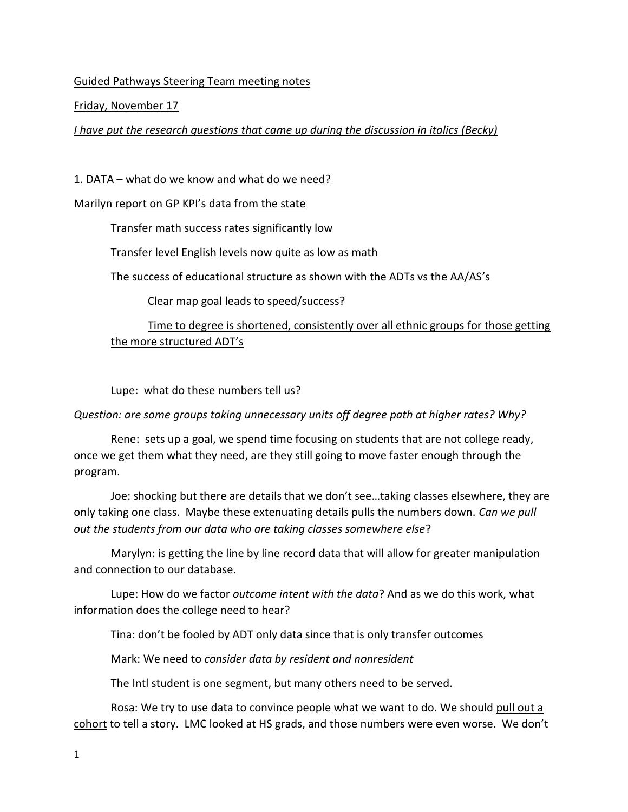### Guided Pathways Steering Team meeting notes

#### Friday, November 17

*I have put the research questions that came up during the discussion in italics (Becky)*

### 1. DATA – what do we know and what do we need?

### Marilyn report on GP KPI's data from the state

Transfer math success rates significantly low

Transfer level English levels now quite as low as math

The success of educational structure as shown with the ADTs vs the AA/AS's

Clear map goal leads to speed/success?

# Time to degree is shortened, consistently over all ethnic groups for those getting the more structured ADT's

Lupe: what do these numbers tell us?

## *Question: are some groups taking unnecessary units off degree path at higher rates? Why?*

Rene: sets up a goal, we spend time focusing on students that are not college ready, once we get them what they need, are they still going to move faster enough through the program.

Joe: shocking but there are details that we don't see…taking classes elsewhere, they are only taking one class. Maybe these extenuating details pulls the numbers down. *Can we pull out the students from our data who are taking classes somewhere else*?

Marylyn: is getting the line by line record data that will allow for greater manipulation and connection to our database.

Lupe: How do we factor *outcome intent with the data*? And as we do this work, what information does the college need to hear?

Tina: don't be fooled by ADT only data since that is only transfer outcomes

Mark: We need to *consider data by resident and nonresident*

The Intl student is one segment, but many others need to be served.

Rosa: We try to use data to convince people what we want to do. We should pull out a cohort to tell a story. LMC looked at HS grads, and those numbers were even worse. We don't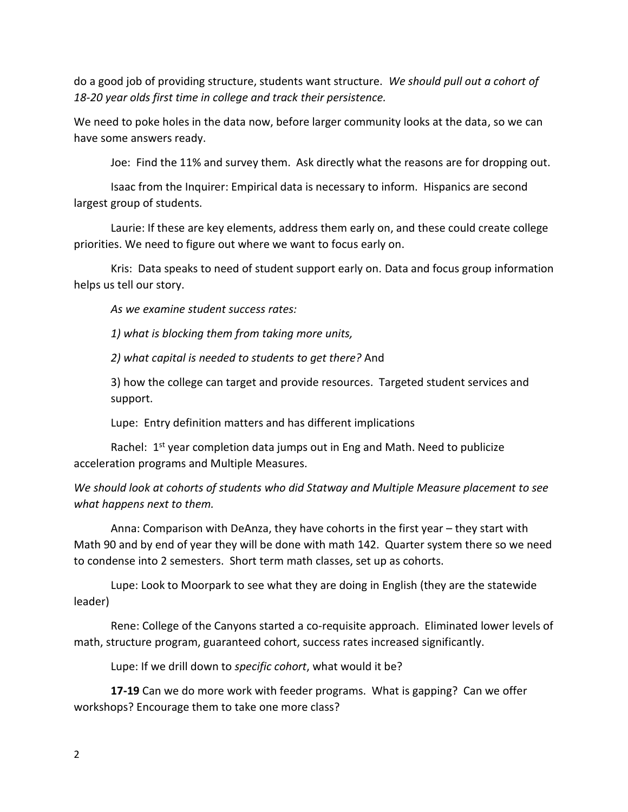do a good job of providing structure, students want structure. *We should pull out a cohort of 18-20 year olds first time in college and track their persistence.*

We need to poke holes in the data now, before larger community looks at the data, so we can have some answers ready.

Joe: Find the 11% and survey them. Ask directly what the reasons are for dropping out.

Isaac from the Inquirer: Empirical data is necessary to inform. Hispanics are second largest group of students.

Laurie: If these are key elements, address them early on, and these could create college priorities. We need to figure out where we want to focus early on.

Kris: Data speaks to need of student support early on. Data and focus group information helps us tell our story.

*As we examine student success rates:*

*1) what is blocking them from taking more units,* 

*2) what capital is needed to students to get there?* And

3) how the college can target and provide resources. Targeted student services and support.

Lupe: Entry definition matters and has different implications

Rachel: 1<sup>st</sup> year completion data jumps out in Eng and Math. Need to publicize acceleration programs and Multiple Measures.

*We should look at cohorts of students who did Statway and Multiple Measure placement to see what happens next to them.*

Anna: Comparison with DeAnza, they have cohorts in the first year – they start with Math 90 and by end of year they will be done with math 142. Quarter system there so we need to condense into 2 semesters. Short term math classes, set up as cohorts.

Lupe: Look to Moorpark to see what they are doing in English (they are the statewide leader)

Rene: College of the Canyons started a co-requisite approach. Eliminated lower levels of math, structure program, guaranteed cohort, success rates increased significantly.

Lupe: If we drill down to *specific cohort*, what would it be?

**17-19** Can we do more work with feeder programs. What is gapping? Can we offer workshops? Encourage them to take one more class?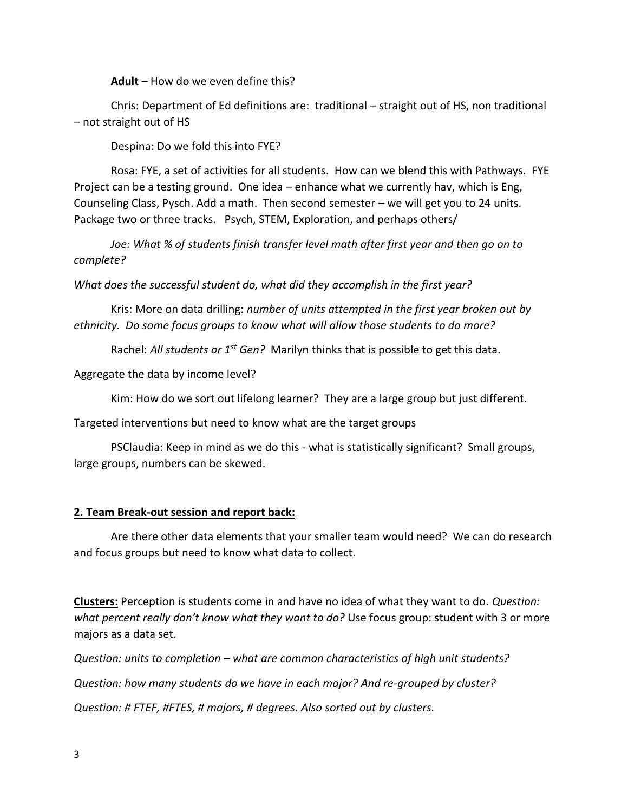**Adult** – How do we even define this?

Chris: Department of Ed definitions are: traditional – straight out of HS, non traditional – not straight out of HS

Despina: Do we fold this into FYE?

Rosa: FYE, a set of activities for all students. How can we blend this with Pathways. FYE Project can be a testing ground. One idea – enhance what we currently hav, which is Eng, Counseling Class, Pysch. Add a math. Then second semester – we will get you to 24 units. Package two or three tracks. Psych, STEM, Exploration, and perhaps others/

*Joe: What % of students finish transfer level math after first year and then go on to complete?*

*What does the successful student do, what did they accomplish in the first year?*

Kris: More on data drilling: *number of units attempted in the first year broken out by ethnicity. Do some focus groups to know what will allow those students to do more?*

Rachel: *All students or 1st Gen?* Marilyn thinks that is possible to get this data.

Aggregate the data by income level?

Kim: How do we sort out lifelong learner? They are a large group but just different.

Targeted interventions but need to know what are the target groups

PSClaudia: Keep in mind as we do this - what is statistically significant? Small groups, large groups, numbers can be skewed.

#### **2. Team Break-out session and report back:**

Are there other data elements that your smaller team would need? We can do research and focus groups but need to know what data to collect.

**Clusters:** Perception is students come in and have no idea of what they want to do. *Question: what percent really don't know what they want to do?* Use focus group: student with 3 or more majors as a data set.

*Question: units to completion – what are common characteristics of high unit students? Question: how many students do we have in each major? And re-grouped by cluster? Question: # FTEF, #FTES, # majors, # degrees. Also sorted out by clusters.*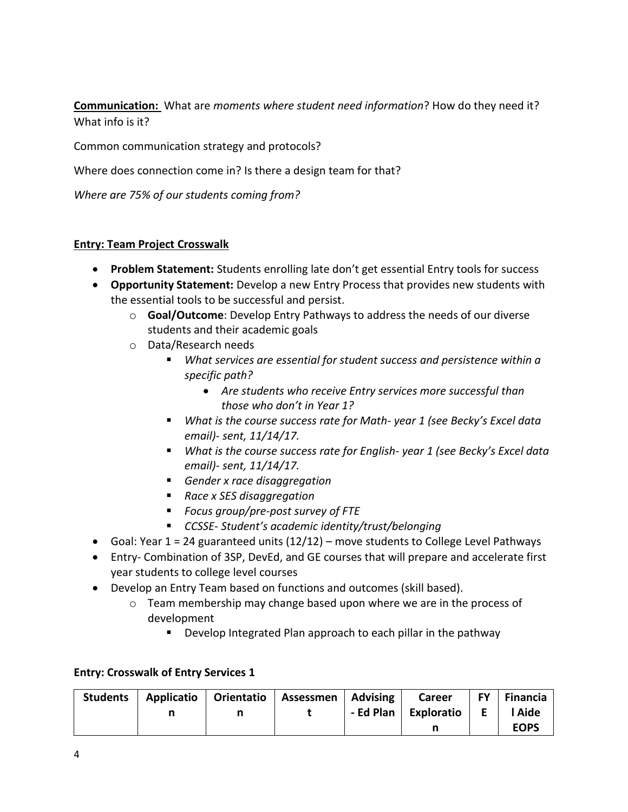**Communication:** What are *moments where student need information*? How do they need it? What info is it?

Common communication strategy and protocols?

Where does connection come in? Is there a design team for that?

*Where are 75% of our students coming from?*

#### **Entry: Team Project Crosswalk**

- **Problem Statement:** Students enrolling late don't get essential Entry tools for success
- **Opportunity Statement:** Develop a new Entry Process that provides new students with the essential tools to be successful and persist.
	- o **Goal/Outcome**: Develop Entry Pathways to address the needs of our diverse students and their academic goals
	- o Data/Research needs
		- *What services are essential for student success and persistence within a specific path?*
			- *Are students who receive Entry services more successful than those who don't in Year 1?*
		- *What is the course success rate for Math- year 1 (see Becky's Excel data email)- sent, 11/14/17.*
		- *What is the course success rate for English- year 1 (see Becky's Excel data email)- sent, 11/14/17.*
		- *Gender x race disaggregation*
		- *Race x SES disaggregation*
		- *Focus group/pre-post survey of FTE*
		- *CCSSE- Student's academic identity/trust/belonging*
- Goal: Year  $1 = 24$  guaranteed units  $(12/12)$  move students to College Level Pathways
- Entry- Combination of 3SP, DevEd, and GE courses that will prepare and accelerate first year students to college level courses
- Develop an Entry Team based on functions and outcomes (skill based).
	- o Team membership may change based upon where we are in the process of development
		- Develop Integrated Plan approach to each pillar in the pathway

#### **Entry: Crosswalk of Entry Services 1**

| <b>Students</b> |  | Applicatio   Orientatio   Assessmen   Advising | <b>Career</b>          |                                 | FY Financia |
|-----------------|--|------------------------------------------------|------------------------|---------------------------------|-------------|
|                 |  |                                                | - Ed Plan   Exploratio | $\mathbf{E}$ . For $\mathbf{E}$ | l Aide      |
|                 |  |                                                |                        |                                 | <b>EOPS</b> |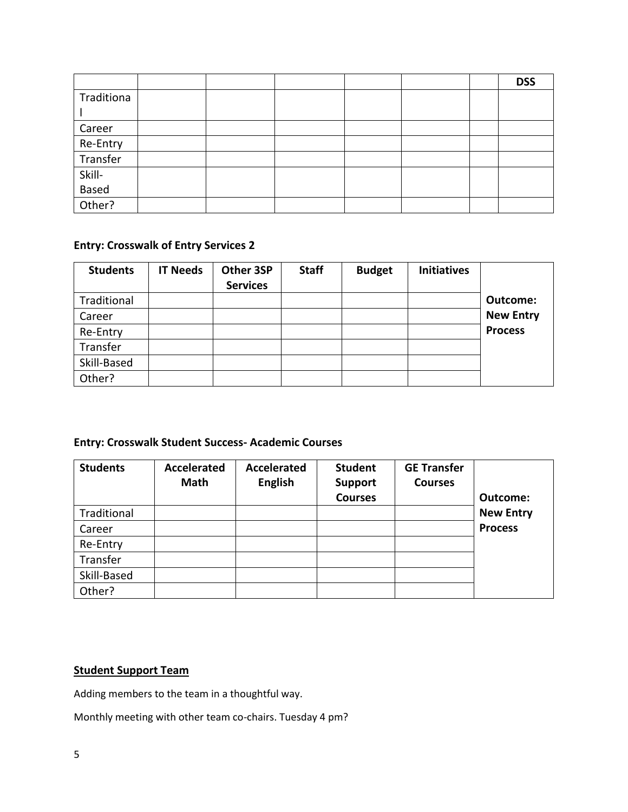|                 |  |  |  | <b>DSS</b> |
|-----------------|--|--|--|------------|
| Traditiona      |  |  |  |            |
|                 |  |  |  |            |
| Career          |  |  |  |            |
| Re-Entry        |  |  |  |            |
| Transfer        |  |  |  |            |
| Skill-<br>Based |  |  |  |            |
|                 |  |  |  |            |
| Other?          |  |  |  |            |

# **Entry: Crosswalk of Entry Services 2**

| <b>Students</b> | <b>IT Needs</b> | Other 3SP       | <b>Staff</b> | <b>Budget</b> | <b>Initiatives</b> |                  |
|-----------------|-----------------|-----------------|--------------|---------------|--------------------|------------------|
|                 |                 | <b>Services</b> |              |               |                    |                  |
| Traditional     |                 |                 |              |               |                    | <b>Outcome:</b>  |
| Career          |                 |                 |              |               |                    | <b>New Entry</b> |
| Re-Entry        |                 |                 |              |               |                    | <b>Process</b>   |
| Transfer        |                 |                 |              |               |                    |                  |
| Skill-Based     |                 |                 |              |               |                    |                  |
| Other?          |                 |                 |              |               |                    |                  |

# **Entry: Crosswalk Student Success- Academic Courses**

| <b>Students</b> | <b>Accelerated</b><br><b>Math</b> | <b>Accelerated</b><br><b>English</b> | <b>Student</b><br><b>Support</b><br><b>Courses</b> | <b>GE Transfer</b><br><b>Courses</b> | Outcome:         |
|-----------------|-----------------------------------|--------------------------------------|----------------------------------------------------|--------------------------------------|------------------|
| Traditional     |                                   |                                      |                                                    |                                      | <b>New Entry</b> |
| Career          |                                   |                                      |                                                    |                                      | <b>Process</b>   |
| Re-Entry        |                                   |                                      |                                                    |                                      |                  |
| Transfer        |                                   |                                      |                                                    |                                      |                  |
| Skill-Based     |                                   |                                      |                                                    |                                      |                  |
| Other?          |                                   |                                      |                                                    |                                      |                  |

## **Student Support Team**

Adding members to the team in a thoughtful way.

Monthly meeting with other team co-chairs. Tuesday 4 pm?